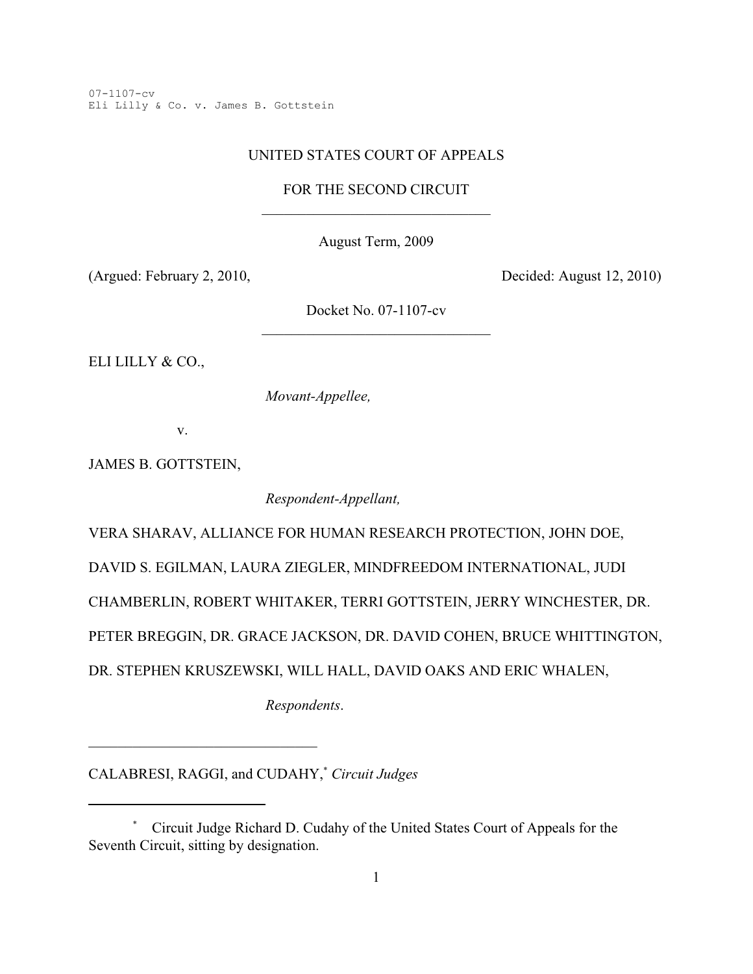07-1107-cv Eli Lilly & Co. v. James B. Gottstein

## UNITED STATES COURT OF APPEALS

FOR THE SECOND CIRCUIT

August Term, 2009

(Argued: February 2, 2010, Decided: August 12, 2010)

Docket No. 07-1107-cv \_\_\_\_\_\_\_\_\_\_\_\_\_\_\_\_\_\_\_\_\_\_\_\_\_\_\_\_\_\_\_

ELI LILLY & CO.,

*Movant-Appellee,*

v.

JAMES B. GOTTSTEIN,

*Respondent-Appellant,*

VERA SHARAV, ALLIANCE FOR HUMAN RESEARCH PROTECTION, JOHN DOE,

DAVID S. EGILMAN, LAURA ZIEGLER, MINDFREEDOM INTERNATIONAL, JUDI

CHAMBERLIN, ROBERT WHITAKER, TERRI GOTTSTEIN, JERRY WINCHESTER, DR.

PETER BREGGIN, DR. GRACE JACKSON, DR. DAVID COHEN, BRUCE WHITTINGTON,

DR. STEPHEN KRUSZEWSKI, WILL HALL, DAVID OAKS AND ERIC WHALEN,

*Respondents*.

CALABRESI, RAGGI, and CUDAHY,<sup>\*</sup> Circuit Judges

\_\_\_\_\_\_\_\_\_\_\_\_\_\_\_\_\_\_\_\_\_\_\_\_\_\_\_\_\_\_\_

Circuit Judge Richard D. Cudahy of the United States Court of Appeals for the \* Seventh Circuit, sitting by designation.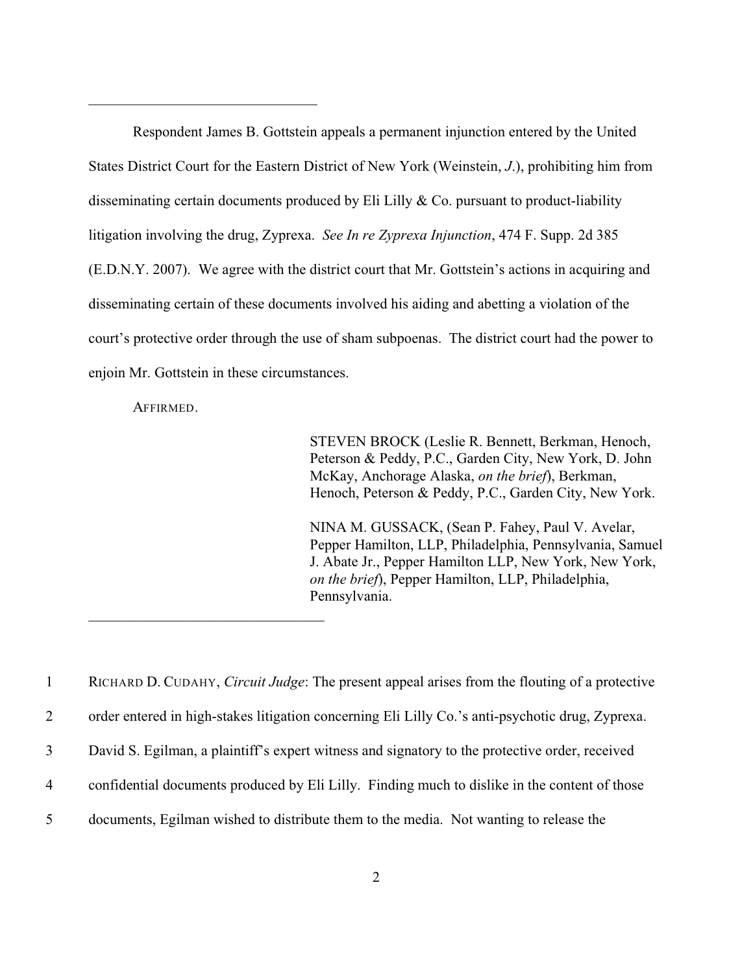Respondent James B. Gottstein appeals a permanent injunction entered by the United States District Court for the Eastern District of New York (Weinstein, *J*.), prohibiting him from disseminating certain documents produced by Eli Lilly & Co. pursuant to product-liability litigation involving the drug, Zyprexa. *See In re Zyprexa Injunction*, 474 F. Supp. 2d 385 (E.D.N.Y. 2007). We agree with the district court that Mr. Gottstein's actions in acquiring and disseminating certain of these documents involved his aiding and abetting a violation of the court's protective order through the use of sham subpoenas. The district court had the power to enjoin Mr. Gottstein in these circumstances.

AFFIRMED.

\_\_\_\_\_\_\_\_\_\_\_\_\_\_\_\_\_\_\_\_\_\_\_\_\_\_\_\_\_\_\_\_

\_\_\_\_\_\_\_\_\_\_\_\_\_\_\_\_\_\_\_\_\_\_\_\_\_\_\_\_\_\_\_

STEVEN BROCK (Leslie R. Bennett, Berkman, Henoch, Peterson & Peddy, P.C., Garden City, New York, D. John McKay, Anchorage Alaska, *on the brief*), Berkman, Henoch, Peterson & Peddy, P.C., Garden City, New York.

NINA M. GUSSACK, (Sean P. Fahey, Paul V. Avelar, Pepper Hamilton, LLP, Philadelphia, Pennsylvania, Samuel J. Abate Jr., Pepper Hamilton LLP, New York, New York, *on the brief*), Pepper Hamilton, LLP, Philadelphia, Pennsylvania.

1 RICHARD D. CUDAHY, *Circuit Judge*: The present appeal arises from the flouting of a protective order entered in high-stakes litigation concerning Eli Lilly Co.'s anti-psychotic drug, Zyprexa. David S. Egilman, a plaintiff's expert witness and signatory to the protective order, received confidential documents produced by Eli Lilly. Finding much to dislike in the content of those documents, Egilman wished to distribute them to the media. Not wanting to release the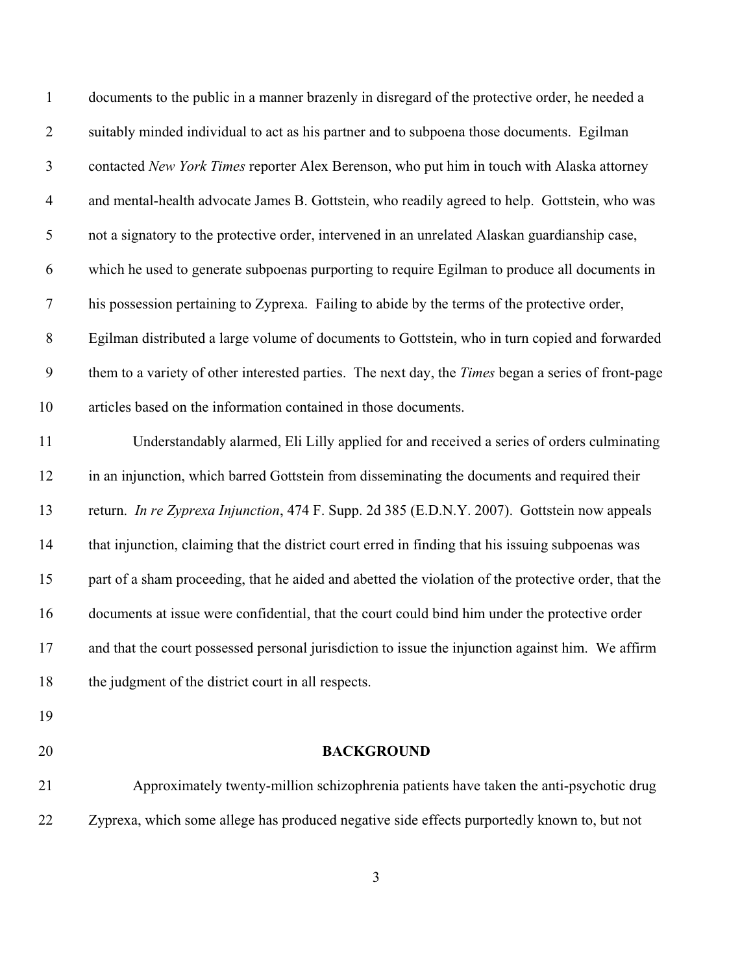| $\mathbf{1}$   | documents to the public in a manner brazenly in disregard of the protective order, he needed a       |
|----------------|------------------------------------------------------------------------------------------------------|
| $\overline{2}$ | suitably minded individual to act as his partner and to subpoena those documents. Egilman            |
| $\mathfrak{Z}$ | contacted New York Times reporter Alex Berenson, who put him in touch with Alaska attorney           |
| $\overline{4}$ | and mental-health advocate James B. Gottstein, who readily agreed to help. Gottstein, who was        |
| $\mathfrak{S}$ | not a signatory to the protective order, intervened in an unrelated Alaskan guardianship case,       |
| 6              | which he used to generate subpoenas purporting to require Egilman to produce all documents in        |
| $\overline{7}$ | his possession pertaining to Zyprexa. Failing to abide by the terms of the protective order,         |
| $8\phantom{1}$ | Egilman distributed a large volume of documents to Gottstein, who in turn copied and forwarded       |
| 9              | them to a variety of other interested parties. The next day, the Times began a series of front-page  |
| 10             | articles based on the information contained in those documents.                                      |
| 11             | Understandably alarmed, Eli Lilly applied for and received a series of orders culminating            |
| 12             | in an injunction, which barred Gottstein from disseminating the documents and required their         |
| 13             | return. In re Zyprexa Injunction, 474 F. Supp. 2d 385 (E.D.N.Y. 2007). Gottstein now appeals         |
| 14             | that injunction, claiming that the district court erred in finding that his issuing subpoenas was    |
| 15             | part of a sham proceeding, that he aided and abetted the violation of the protective order, that the |
| 16             | documents at issue were confidential, that the court could bind him under the protective order       |
| 17             | and that the court possessed personal jurisdiction to issue the injunction against him. We affirm    |
| 18             | the judgment of the district court in all respects.                                                  |
| 19             |                                                                                                      |
| 20             | <b>BACKGROUND</b>                                                                                    |
| 21             | Approximately twenty-million schizophrenia patients have taken the anti-psychotic drug               |

Zyprexa, which some allege has produced negative side effects purportedly known to, but not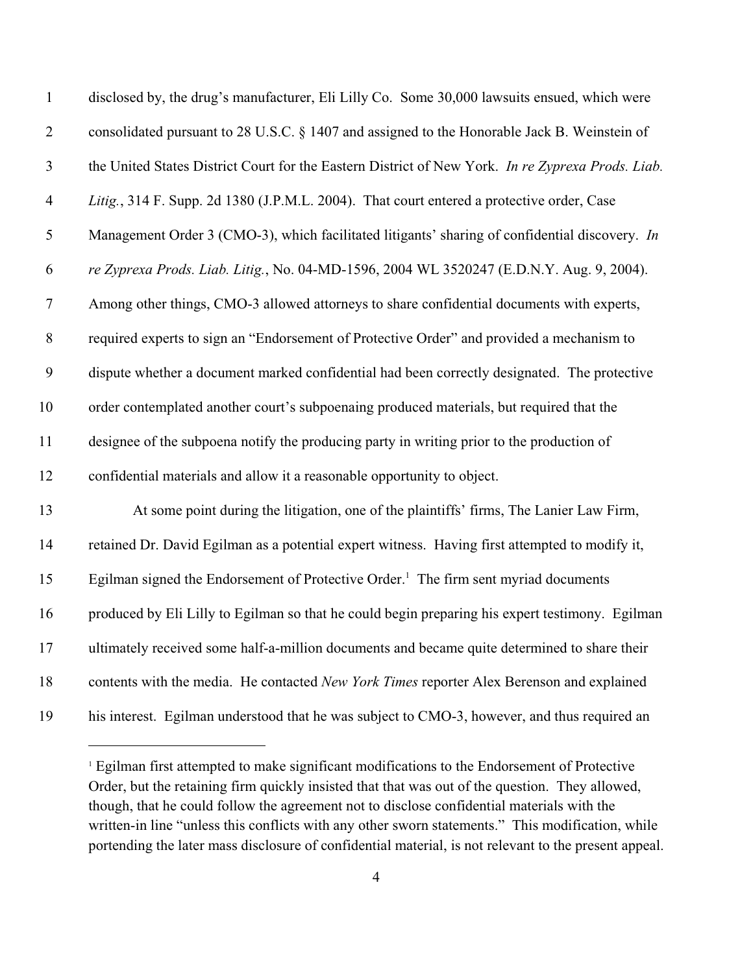| $\mathbf{1}$     | disclosed by, the drug's manufacturer, Eli Lilly Co. Some 30,000 lawsuits ensued, which were      |
|------------------|---------------------------------------------------------------------------------------------------|
| $\mathbf{2}$     | consolidated pursuant to 28 U.S.C. § 1407 and assigned to the Honorable Jack B. Weinstein of      |
| $\overline{3}$   | the United States District Court for the Eastern District of New York. In re Zyprexa Prods. Liab. |
| $\overline{4}$   | Litig., 314 F. Supp. 2d 1380 (J.P.M.L. 2004). That court entered a protective order, Case         |
| 5                | Management Order 3 (CMO-3), which facilitated litigants' sharing of confidential discovery. In    |
| 6                | re Zyprexa Prods. Liab. Litig., No. 04-MD-1596, 2004 WL 3520247 (E.D.N.Y. Aug. 9, 2004).          |
| $\boldsymbol{7}$ | Among other things, CMO-3 allowed attorneys to share confidential documents with experts,         |
| $\, 8$           | required experts to sign an "Endorsement of Protective Order" and provided a mechanism to         |
| 9                | dispute whether a document marked confidential had been correctly designated. The protective      |
| 10               | order contemplated another court's subpoenaing produced materials, but required that the          |
| 11               | designee of the subpoena notify the producing party in writing prior to the production of         |
| 12               | confidential materials and allow it a reasonable opportunity to object.                           |
| 13               | At some point during the litigation, one of the plaintiffs' firms, The Lanier Law Firm,           |
| 14               | retained Dr. David Egilman as a potential expert witness. Having first attempted to modify it,    |
| 15               | Egilman signed the Endorsement of Protective Order. <sup>1</sup> The firm sent myriad documents   |
| 16               | produced by Eli Lilly to Egilman so that he could begin preparing his expert testimony. Egilman   |
| 17               | ultimately received some half-a-million documents and became quite determined to share their      |
| 18               | contents with the media. He contacted New York Times reporter Alex Berenson and explained         |
| 19               | his interest. Egilman understood that he was subject to CMO-3, however, and thus required an      |

<sup>&</sup>lt;sup>1</sup> Egilman first attempted to make significant modifications to the Endorsement of Protective Order, but the retaining firm quickly insisted that that was out of the question. They allowed, though, that he could follow the agreement not to disclose confidential materials with the written-in line "unless this conflicts with any other sworn statements." This modification, while portending the later mass disclosure of confidential material, is not relevant to the present appeal.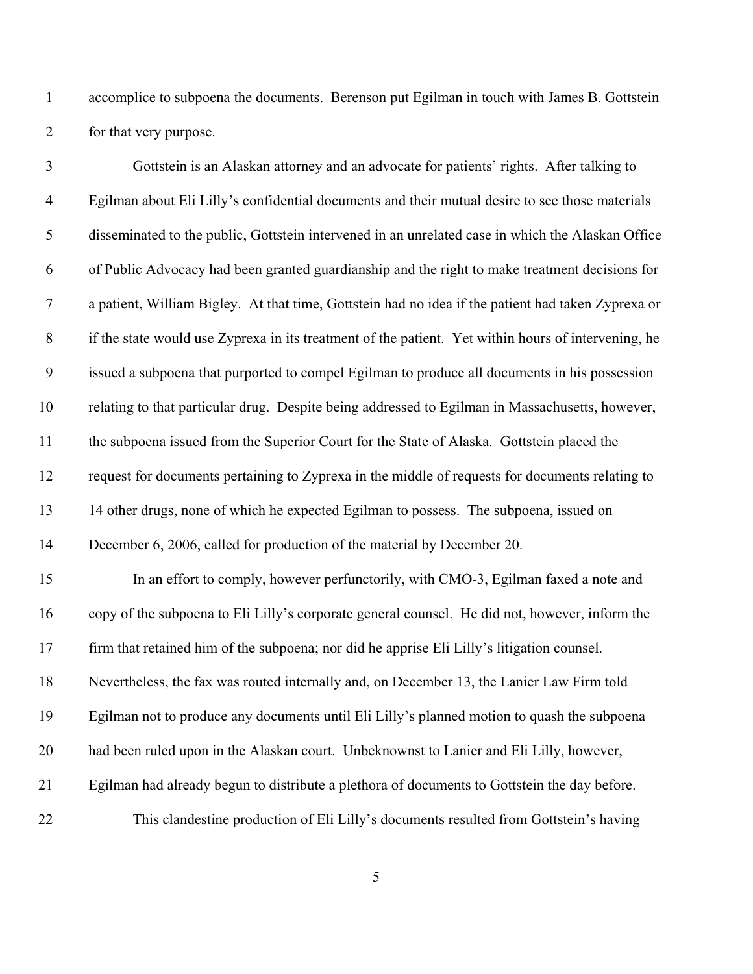accomplice to subpoena the documents. Berenson put Egilman in touch with James B. Gottstein for that very purpose.

| $\mathfrak{Z}$ | Gottstein is an Alaskan attorney and an advocate for patients' rights. After talking to             |
|----------------|-----------------------------------------------------------------------------------------------------|
| $\overline{4}$ | Egilman about Eli Lilly's confidential documents and their mutual desire to see those materials     |
| $\mathfrak{S}$ | disseminated to the public, Gottstein intervened in an unrelated case in which the Alaskan Office   |
| 6              | of Public Advocacy had been granted guardianship and the right to make treatment decisions for      |
| $\overline{7}$ | a patient, William Bigley. At that time, Gottstein had no idea if the patient had taken Zyprexa or  |
| $\,8\,$        | if the state would use Zyprexa in its treatment of the patient. Yet within hours of intervening, he |
| 9              | issued a subpoena that purported to compel Egilman to produce all documents in his possession       |
| 10             | relating to that particular drug. Despite being addressed to Egilman in Massachusetts, however,     |
| 11             | the subpoena issued from the Superior Court for the State of Alaska. Gottstein placed the           |
| 12             | request for documents pertaining to Zyprexa in the middle of requests for documents relating to     |
| 13             | 14 other drugs, none of which he expected Egilman to possess. The subpoena, issued on               |
| 14             | December 6, 2006, called for production of the material by December 20.                             |
| 15             | In an effort to comply, however perfunctorily, with CMO-3, Egilman faxed a note and                 |
| 16             | copy of the subpoena to Eli Lilly's corporate general counsel. He did not, however, inform the      |
| 17             | firm that retained him of the subpoena; nor did he apprise Eli Lilly's litigation counsel.          |
| 18             | Nevertheless, the fax was routed internally and, on December 13, the Lanier Law Firm told           |
| 19             | Egilman not to produce any documents until Eli Lilly's planned motion to quash the subpoena         |
| 20             | had been ruled upon in the Alaskan court. Unbeknownst to Lanier and Eli Lilly, however,             |
| 21             | Egilman had already begun to distribute a plethora of documents to Gottstein the day before.        |
| 22             | This clandestine production of Eli Lilly's documents resulted from Gottstein's having               |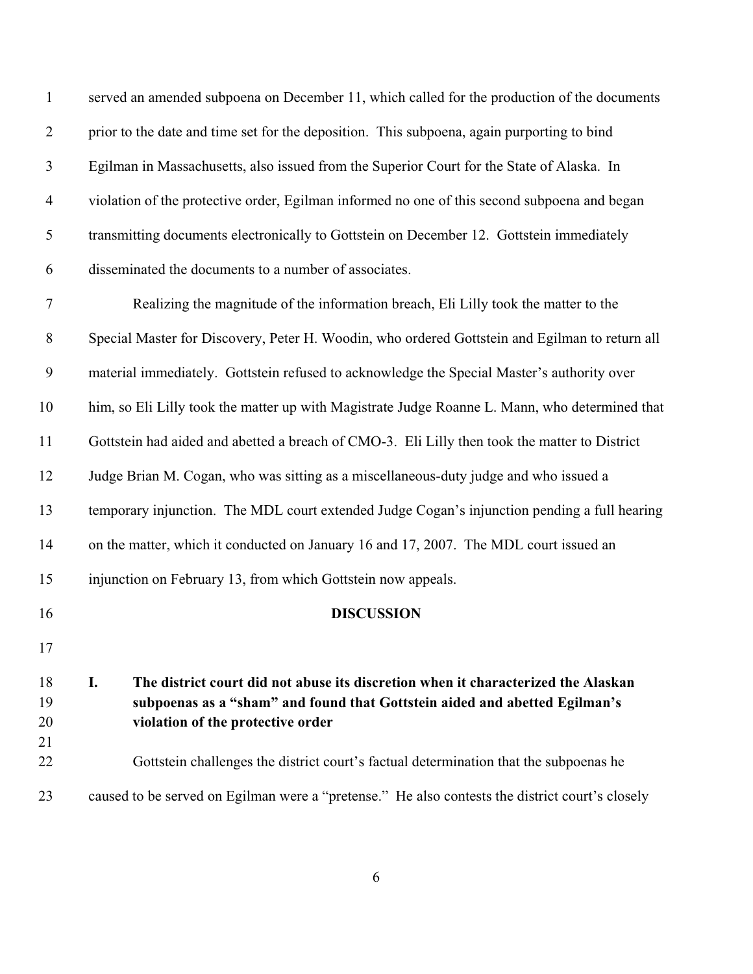| $\mathbf{1}$   | served an amended subpoena on December 11, which called for the production of the documents                                                                                                                |
|----------------|------------------------------------------------------------------------------------------------------------------------------------------------------------------------------------------------------------|
| $\overline{2}$ | prior to the date and time set for the deposition. This subpoena, again purporting to bind                                                                                                                 |
| $\mathfrak{Z}$ | Egilman in Massachusetts, also issued from the Superior Court for the State of Alaska. In                                                                                                                  |
| $\overline{4}$ | violation of the protective order, Egilman informed no one of this second subpoena and began                                                                                                               |
| $\mathfrak s$  | transmitting documents electronically to Gottstein on December 12. Gottstein immediately                                                                                                                   |
| 6              | disseminated the documents to a number of associates.                                                                                                                                                      |
| $\tau$         | Realizing the magnitude of the information breach, Eli Lilly took the matter to the                                                                                                                        |
| $8\,$          | Special Master for Discovery, Peter H. Woodin, who ordered Gottstein and Egilman to return all                                                                                                             |
| 9              | material immediately. Gottstein refused to acknowledge the Special Master's authority over                                                                                                                 |
| 10             | him, so Eli Lilly took the matter up with Magistrate Judge Roanne L. Mann, who determined that                                                                                                             |
| 11             | Gottstein had aided and abetted a breach of CMO-3. Eli Lilly then took the matter to District                                                                                                              |
| 12             | Judge Brian M. Cogan, who was sitting as a miscellaneous-duty judge and who issued a                                                                                                                       |
| 13             | temporary injunction. The MDL court extended Judge Cogan's injunction pending a full hearing                                                                                                               |
| 14             | on the matter, which it conducted on January 16 and 17, 2007. The MDL court issued an                                                                                                                      |
| 15             | injunction on February 13, from which Gottstein now appeals.                                                                                                                                               |
| 16             | <b>DISCUSSION</b>                                                                                                                                                                                          |
| 17             |                                                                                                                                                                                                            |
| 18<br>19<br>20 | I.<br>The district court did not abuse its discretion when it characterized the Alaskan<br>subpoenas as a "sham" and found that Gottstein aided and abetted Egilman's<br>violation of the protective order |
| 21<br>22       | Gottstein challenges the district court's factual determination that the subpoenas he                                                                                                                      |
| 23             | caused to be served on Egilman were a "pretense." He also contests the district court's closely                                                                                                            |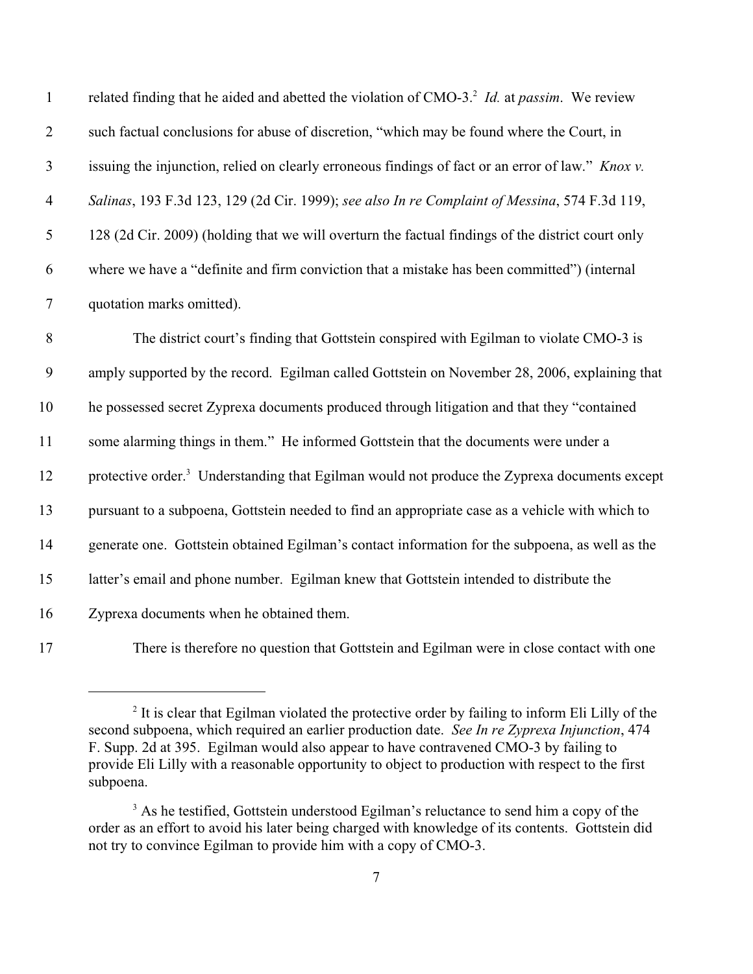| $\mathbf{1}$     | related finding that he aided and abetted the violation of CMO-3. <sup>2</sup> Id. at passim. We review  |
|------------------|----------------------------------------------------------------------------------------------------------|
| $\overline{2}$   | such factual conclusions for abuse of discretion, "which may be found where the Court, in                |
| $\mathfrak{Z}$   | issuing the injunction, relied on clearly erroneous findings of fact or an error of law." Knox v.        |
| $\overline{4}$   | Salinas, 193 F.3d 123, 129 (2d Cir. 1999); see also In re Complaint of Messina, 574 F.3d 119,            |
| 5                | 128 (2d Cir. 2009) (holding that we will overturn the factual findings of the district court only        |
| 6                | where we have a "definite and firm conviction that a mistake has been committed" (internal               |
| $\boldsymbol{7}$ | quotation marks omitted).                                                                                |
| $8\,$            | The district court's finding that Gottstein conspired with Egilman to violate CMO-3 is                   |
| 9                | amply supported by the record. Egilman called Gottstein on November 28, 2006, explaining that            |
| 10               | he possessed secret Zyprexa documents produced through litigation and that they "contained               |
| 11               | some alarming things in them." He informed Gottstein that the documents were under a                     |
| 12               | protective order. <sup>3</sup> Understanding that Egilman would not produce the Zyprexa documents except |
| 13               | pursuant to a subpoena, Gottstein needed to find an appropriate case as a vehicle with which to          |
| 14               | generate one. Gottstein obtained Egilman's contact information for the subpoena, as well as the          |
| 15               | latter's email and phone number. Egilman knew that Gottstein intended to distribute the                  |
| 16               | Zyprexa documents when he obtained them.                                                                 |
| 17               | There is therefore no question that Gottstein and Egilman were in close contact with one                 |

 It is clear that Egilman violated the protective order by failing to inform Eli Lilly of the second subpoena, which required an earlier production date. *See In re Zyprexa Injunction*, 474 F. Supp. 2d at 395. Egilman would also appear to have contravened CMO-3 by failing to provide Eli Lilly with a reasonable opportunity to object to production with respect to the first subpoena.

<sup>&</sup>lt;sup>3</sup> As he testified, Gottstein understood Egilman's reluctance to send him a copy of the order as an effort to avoid his later being charged with knowledge of its contents. Gottstein did not try to convince Egilman to provide him with a copy of CMO-3.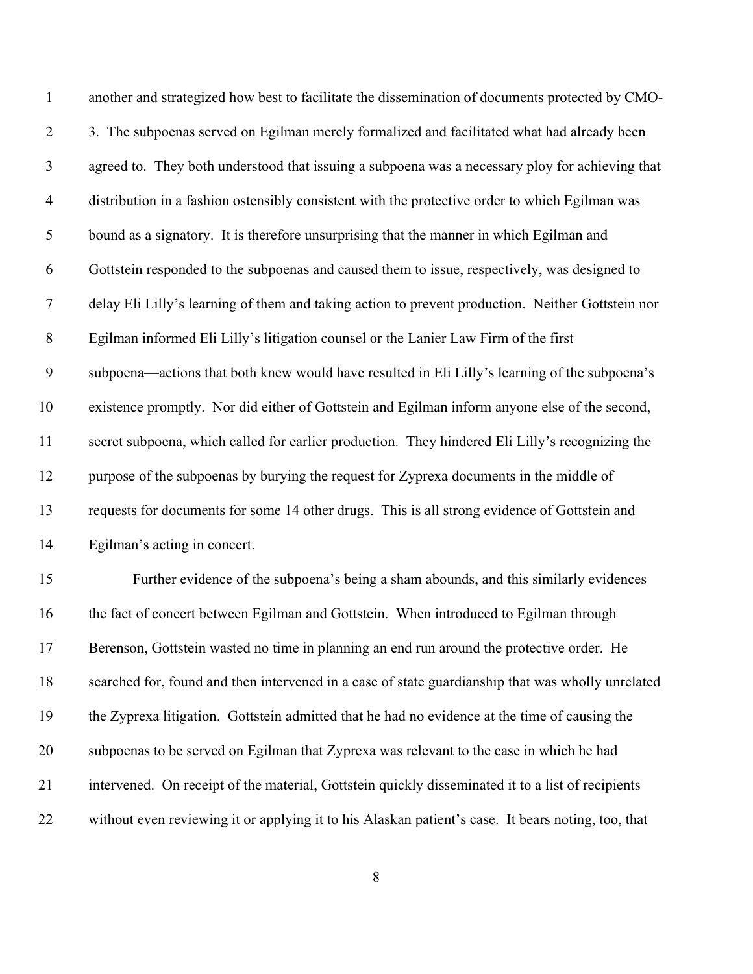| $\mathbf{1}$   | another and strategized how best to facilitate the dissemination of documents protected by CMO-   |
|----------------|---------------------------------------------------------------------------------------------------|
| $\overline{2}$ | 3. The subpoenas served on Egilman merely formalized and facilitated what had already been        |
| $\mathfrak{Z}$ | agreed to. They both understood that issuing a subpoena was a necessary ploy for achieving that   |
| 4              | distribution in a fashion ostensibly consistent with the protective order to which Egilman was    |
| 5              | bound as a signatory. It is therefore unsurprising that the manner in which Egilman and           |
| 6              | Gottstein responded to the subpoenas and caused them to issue, respectively, was designed to      |
| 7              | delay Eli Lilly's learning of them and taking action to prevent production. Neither Gottstein nor |
| $8\,$          | Egilman informed Eli Lilly's litigation counsel or the Lanier Law Firm of the first               |
| 9              | subpoena—actions that both knew would have resulted in Eli Lilly's learning of the subpoena's     |
| 10             | existence promptly. Nor did either of Gottstein and Egilman inform anyone else of the second,     |
| 11             | secret subpoena, which called for earlier production. They hindered Eli Lilly's recognizing the   |
| 12             | purpose of the subpoenas by burying the request for Zyprexa documents in the middle of            |
| 13             | requests for documents for some 14 other drugs. This is all strong evidence of Gottstein and      |
| 14             | Egilman's acting in concert.                                                                      |
| 15             | Further evidence of the subpoena's being a sham abounds, and this similarly evidences             |
| 16             | the fact of concert between Egilman and Gottstein. When introduced to Egilman through             |
| 17             | Berenson, Gottstein wasted no time in planning an end run around the protective order. He         |
| 18             | searched for, found and then intervened in a case of state guardianship that was wholly unrelated |
| 19             | the Zyprexa litigation. Gottstein admitted that he had no evidence at the time of causing the     |
| 20             | subpoenas to be served on Egilman that Zyprexa was relevant to the case in which he had           |
| 21             | intervened. On receipt of the material, Gottstein quickly disseminated it to a list of recipients |
|                |                                                                                                   |

without even reviewing it or applying it to his Alaskan patient's case. It bears noting, too, that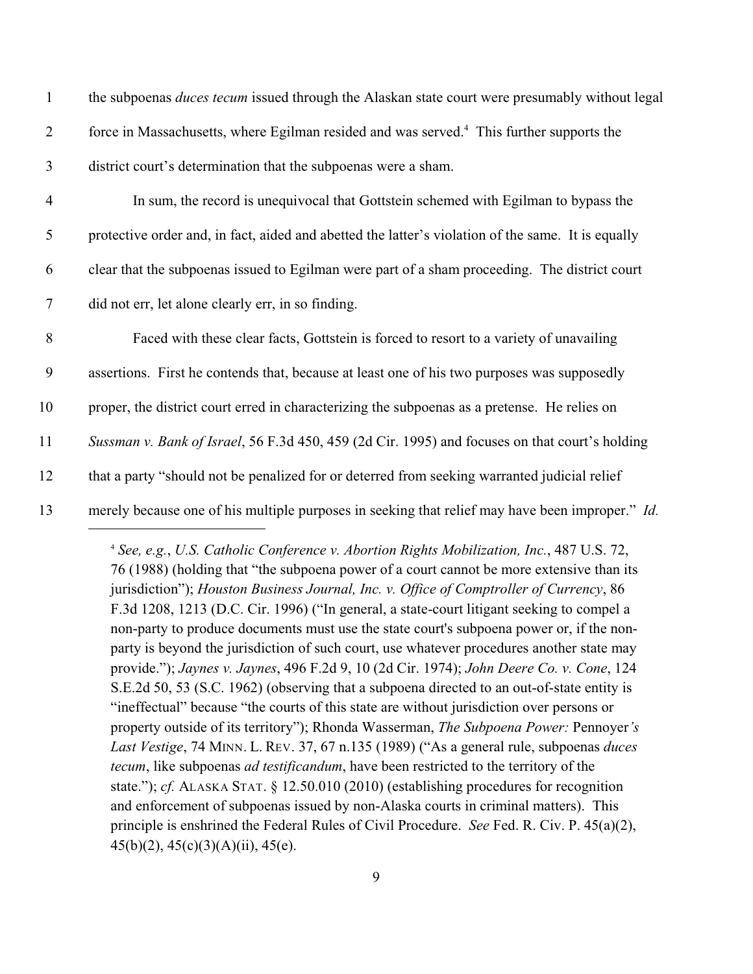| $\mathbf{1}$   | the subpoenas <i>duces tecum</i> issued through the Alaskan state court were presumably without legal |
|----------------|-------------------------------------------------------------------------------------------------------|
| $\overline{2}$ | force in Massachusetts, where Egilman resided and was served. <sup>4</sup> This further supports the  |
| 3              | district court's determination that the subpoenas were a sham.                                        |
| $\overline{4}$ | In sum, the record is unequivocal that Gottstein schemed with Egilman to bypass the                   |
| 5              | protective order and, in fact, aided and abetted the latter's violation of the same. It is equally    |
| 6              | clear that the subpoenas issued to Egilman were part of a sham proceeding. The district court         |
| $\tau$         | did not err, let alone clearly err, in so finding.                                                    |
| 8              | Faced with these clear facts, Gottstein is forced to resort to a variety of unavailing                |
| 9              | assertions. First he contends that, because at least one of his two purposes was supposedly           |
| 10             | proper, the district court erred in characterizing the subpoenas as a pretense. He relies on          |
| 11             | Sussman v. Bank of Israel, 56 F.3d 450, 459 (2d Cir. 1995) and focuses on that court's holding        |
| 12             | that a party "should not be penalized for or deterred from seeking warranted judicial relief          |
| 13             | merely because one of his multiple purposes in seeking that relief may have been improper." Id.       |
|                |                                                                                                       |

*See, e.g.*, *U.S. Catholic Conference v. Abortion Rights Mobilization, Inc.*, 487 U.S. 72, <sup>4</sup> 76 (1988) (holding that "the subpoena power of a court cannot be more extensive than its jurisdiction"); *Houston Business Journal, Inc. v. Office of Comptroller of Currency*, 86 F.3d 1208, 1213 (D.C. Cir. 1996) ("In general, a state-court litigant seeking to compel a non-party to produce documents must use the state court's subpoena power or, if the nonparty is beyond the jurisdiction of such court, use whatever procedures another state may provide."); *Jaynes v. Jaynes*, 496 F.2d 9, 10 (2d Cir. 1974); *John Deere Co. v. Cone*, 124 S.E.2d 50, 53 (S.C. 1962) (observing that a subpoena directed to an out-of-state entity is "ineffectual" because "the courts of this state are without jurisdiction over persons or property outside of its territory"); Rhonda Wasserman, *The Subpoena Power:* Pennoyer*'s Last Vestige*, 74 MINN. L. REV. 37, 67 n.135 (1989) ("As a general rule, subpoenas *duces tecum*, like subpoenas *ad testificandum*, have been restricted to the territory of the state."); *cf.* ALASKA STAT. § 12.50.010 (2010) (establishing procedures for recognition and enforcement of subpoenas issued by non-Alaska courts in criminal matters). This principle is enshrined the Federal Rules of Civil Procedure. *See* Fed. R. Civ. P. 45(a)(2), 45(b)(2), 45(c)(3)(A)(ii), 45(e).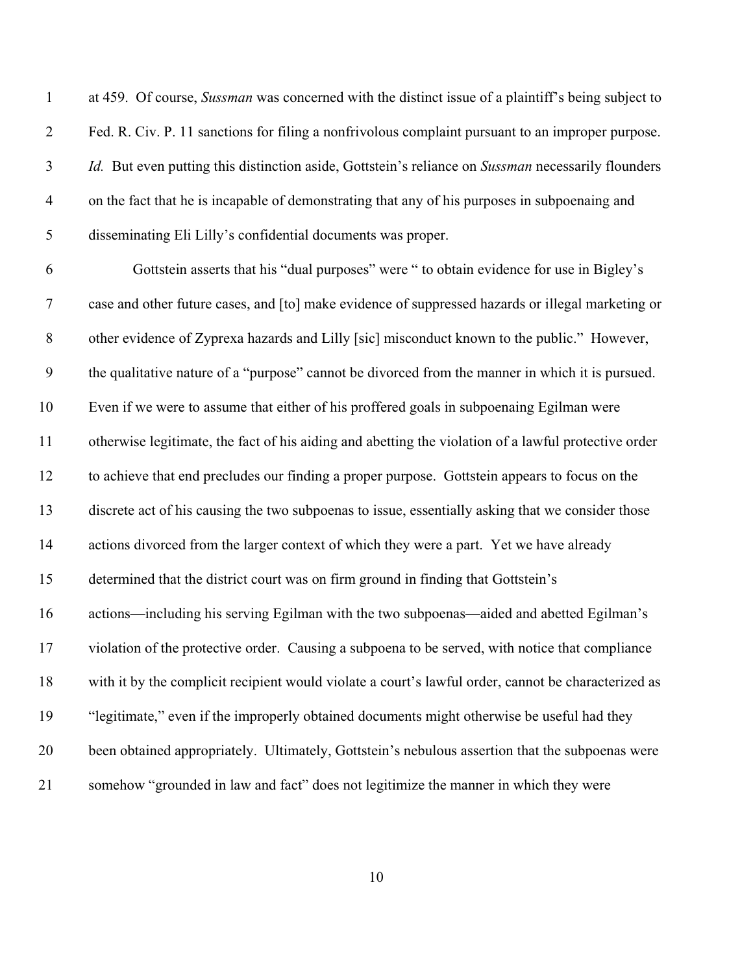at 459. Of course, *Sussman* was concerned with the distinct issue of a plaintiff's being subject to Fed. R. Civ. P. 11 sanctions for filing a nonfrivolous complaint pursuant to an improper purpose. *Id.* But even putting this distinction aside, Gottstein's reliance on *Sussman* necessarily flounders on the fact that he is incapable of demonstrating that any of his purposes in subpoenaing and disseminating Eli Lilly's confidential documents was proper.

 Gottstein asserts that his "dual purposes" were " to obtain evidence for use in Bigley's case and other future cases, and [to] make evidence of suppressed hazards or illegal marketing or other evidence of Zyprexa hazards and Lilly [sic] misconduct known to the public." However, the qualitative nature of a "purpose" cannot be divorced from the manner in which it is pursued. Even if we were to assume that either of his proffered goals in subpoenaing Egilman were otherwise legitimate, the fact of his aiding and abetting the violation of a lawful protective order to achieve that end precludes our finding a proper purpose. Gottstein appears to focus on the discrete act of his causing the two subpoenas to issue, essentially asking that we consider those actions divorced from the larger context of which they were a part. Yet we have already determined that the district court was on firm ground in finding that Gottstein's actions—including his serving Egilman with the two subpoenas—aided and abetted Egilman's violation of the protective order. Causing a subpoena to be served, with notice that compliance with it by the complicit recipient would violate a court's lawful order, cannot be characterized as "legitimate," even if the improperly obtained documents might otherwise be useful had they been obtained appropriately. Ultimately, Gottstein's nebulous assertion that the subpoenas were somehow "grounded in law and fact" does not legitimize the manner in which they were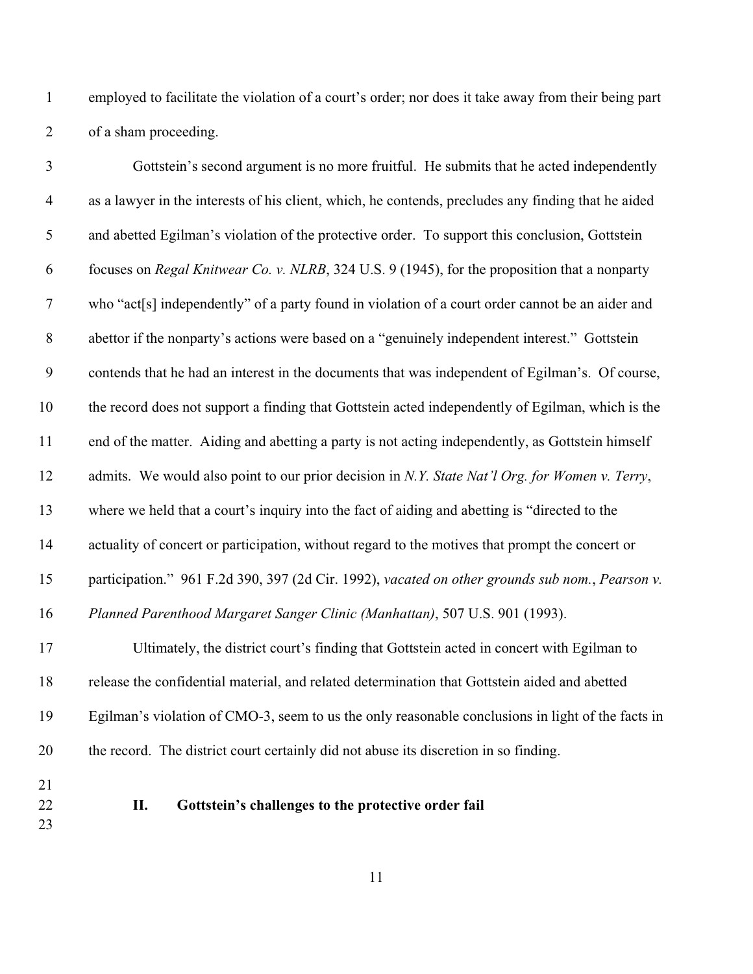employed to facilitate the violation of a court's order; nor does it take away from their being part of a sham proceeding.

| $\mathfrak{Z}$   | Gottstein's second argument is no more fruitful. He submits that he acted independently             |
|------------------|-----------------------------------------------------------------------------------------------------|
| $\overline{4}$   | as a lawyer in the interests of his client, which, he contends, precludes any finding that he aided |
| $\mathfrak{S}$   | and abetted Egilman's violation of the protective order. To support this conclusion, Gottstein      |
| 6                | focuses on Regal Knitwear Co. v. NLRB, 324 U.S. 9 (1945), for the proposition that a nonparty       |
| $\boldsymbol{7}$ | who "act[s] independently" of a party found in violation of a court order cannot be an aider and    |
| $\,8\,$          | abettor if the nonparty's actions were based on a "genuinely independent interest." Gottstein       |
| 9                | contends that he had an interest in the documents that was independent of Egilman's. Of course,     |
| 10               | the record does not support a finding that Gottstein acted independently of Egilman, which is the   |
| 11               | end of the matter. Aiding and abetting a party is not acting independently, as Gottstein himself    |
| 12               | admits. We would also point to our prior decision in N.Y. State Nat'l Org. for Women v. Terry,      |
| 13               | where we held that a court's inquiry into the fact of aiding and abetting is "directed to the       |
| 14               | actuality of concert or participation, without regard to the motives that prompt the concert or     |
| 15               | participation." 961 F.2d 390, 397 (2d Cir. 1992), vacated on other grounds sub nom., Pearson v.     |
| 16               | Planned Parenthood Margaret Sanger Clinic (Manhattan), 507 U.S. 901 (1993).                         |
| 17               | Ultimately, the district court's finding that Gottstein acted in concert with Egilman to            |
| 18               | release the confidential material, and related determination that Gottstein aided and abetted       |
| 19               | Egilman's violation of CMO-3, seem to us the only reasonable conclusions in light of the facts in   |

- the record. The district court certainly did not abuse its discretion in so finding.
- 
- 
- **II. Gottstein's challenges to the protective order fail**
-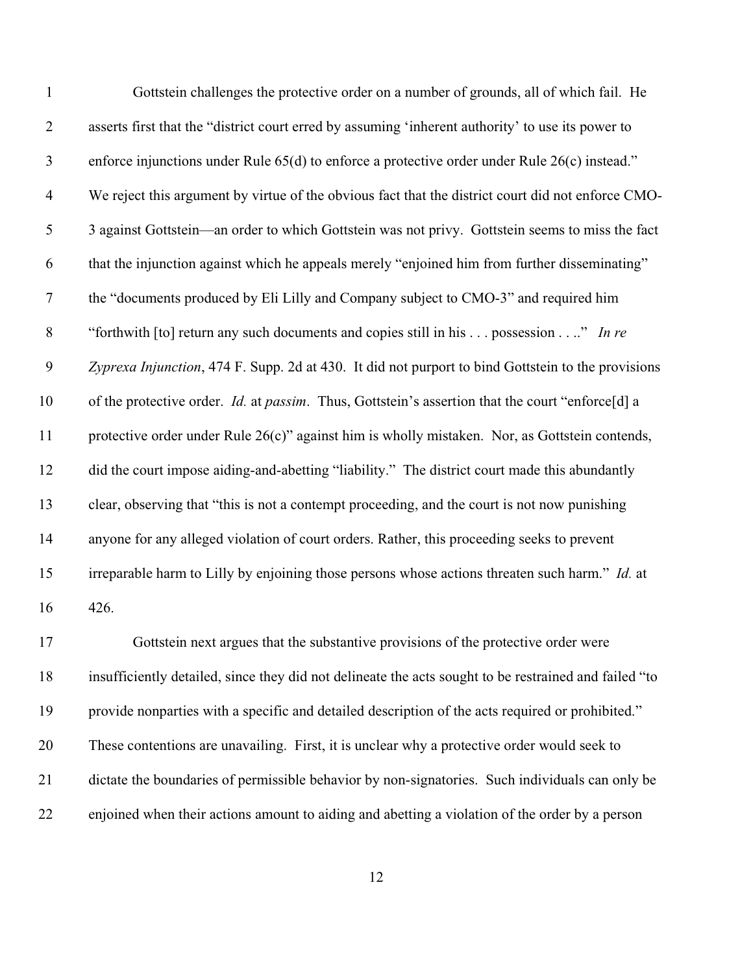| $\mathbf{1}$     | Gottstein challenges the protective order on a number of grounds, all of which fail. He               |
|------------------|-------------------------------------------------------------------------------------------------------|
| $\overline{2}$   | asserts first that the "district court erred by assuming 'inherent authority' to use its power to     |
| $\mathfrak{Z}$   | enforce injunctions under Rule $65(d)$ to enforce a protective order under Rule $26(c)$ instead."     |
| $\overline{4}$   | We reject this argument by virtue of the obvious fact that the district court did not enforce CMO-    |
| 5                | 3 against Gottstein—an order to which Gottstein was not privy. Gottstein seems to miss the fact       |
| 6                | that the injunction against which he appeals merely "enjoined him from further disseminating"         |
| $\boldsymbol{7}$ | the "documents produced by Eli Lilly and Company subject to CMO-3" and required him                   |
| $8\,$            | "forthwith [to] return any such documents and copies still in his  possession " In re                 |
| $\mathbf{9}$     | Zyprexa Injunction, 474 F. Supp. 2d at 430. It did not purport to bind Gottstein to the provisions    |
| 10               | of the protective order. Id. at passim. Thus, Gottstein's assertion that the court "enforce[d] a      |
| 11               | protective order under Rule 26(c)" against him is wholly mistaken. Nor, as Gottstein contends,        |
| 12               | did the court impose aiding-and-abetting "liability." The district court made this abundantly         |
| 13               | clear, observing that "this is not a contempt proceeding, and the court is not now punishing          |
| 14               | anyone for any alleged violation of court orders. Rather, this proceeding seeks to prevent            |
| 15               | irreparable harm to Lilly by enjoining those persons whose actions threaten such harm." Id. at        |
| 16               | 426.                                                                                                  |
| 17               | Gottstein next argues that the substantive provisions of the protective order were                    |
| 18               | insufficiently detailed, since they did not delineate the acts sought to be restrained and failed "to |
| 19               | provide nonparties with a specific and detailed description of the acts required or prohibited."      |
| 20               | These contentions are unavailing. First, it is unclear why a protective order would seek to           |
| 21               | dictate the boundaries of permissible behavior by non-signatories. Such individuals can only be       |
| 22               | enjoined when their actions amount to aiding and abetting a violation of the order by a person        |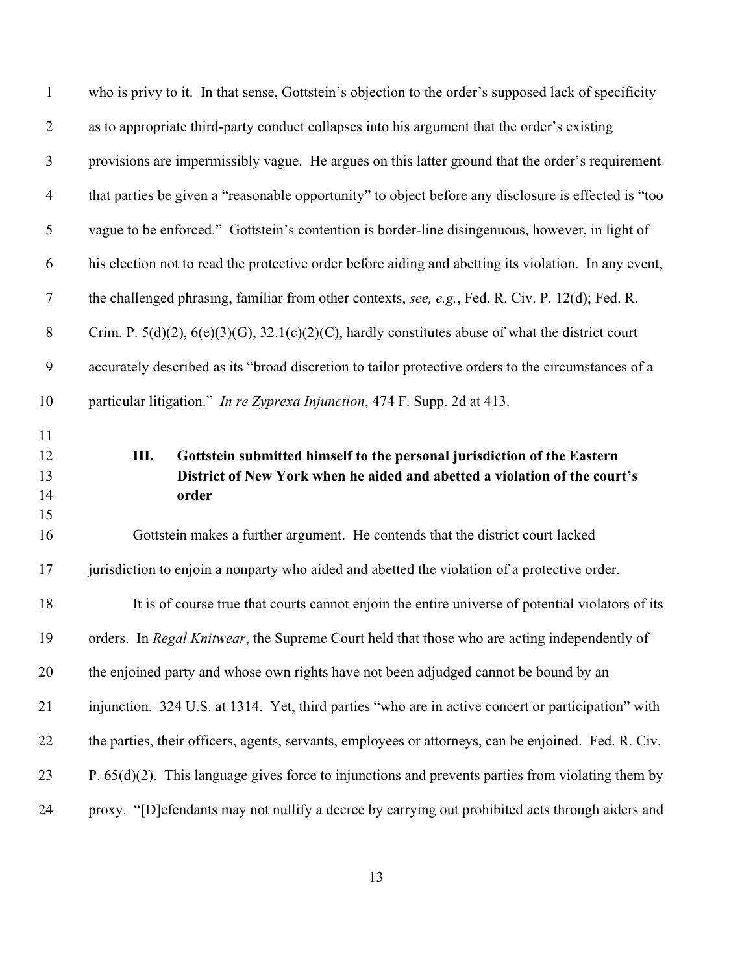| $\mathbf{1}$               | who is privy to it. In that sense, Gottstein's objection to the order's supposed lack of specificity                                                                  |
|----------------------------|-----------------------------------------------------------------------------------------------------------------------------------------------------------------------|
| $\overline{2}$             | as to appropriate third-party conduct collapses into his argument that the order's existing                                                                           |
| $\mathfrak{Z}$             | provisions are impermissibly vague. He argues on this latter ground that the order's requirement                                                                      |
| $\overline{4}$             | that parties be given a "reasonable opportunity" to object before any disclosure is effected is "too                                                                  |
| $\mathfrak{S}$             | vague to be enforced." Gottstein's contention is border-line disingenuous, however, in light of                                                                       |
| 6                          | his election not to read the protective order before aiding and abetting its violation. In any event,                                                                 |
| $\boldsymbol{7}$           | the challenged phrasing, familiar from other contexts, see, e.g., Fed. R. Civ. P. 12(d); Fed. R.                                                                      |
| $\,8\,$                    | Crim. P. $5(d)(2)$ , $6(e)(3)(G)$ , $32.1(c)(2)(C)$ , hardly constitutes abuse of what the district court                                                             |
| 9                          | accurately described as its "broad discretion to tailor protective orders to the circumstances of a                                                                   |
| 10                         | particular litigation." In re Zyprexa Injunction, 474 F. Supp. 2d at 413.                                                                                             |
| 11<br>12<br>13<br>14<br>15 | III.<br>Gottstein submitted himself to the personal jurisdiction of the Eastern<br>District of New York when he aided and abetted a violation of the court's<br>order |
| 16                         | Gottstein makes a further argument. He contends that the district court lacked                                                                                        |
| 17                         | jurisdiction to enjoin a nonparty who aided and abetted the violation of a protective order.                                                                          |
| 18                         | It is of course true that courts cannot enjoin the entire universe of potential violators of its                                                                      |
| 19                         | orders. In Regal Knitwear, the Supreme Court held that those who are acting independently of                                                                          |
| 20                         | the enjoined party and whose own rights have not been adjudged cannot be bound by an                                                                                  |
| 21                         | injunction. 324 U.S. at 1314. Yet, third parties "who are in active concert or participation" with                                                                    |
| 22                         | the parties, their officers, agents, servants, employees or attorneys, can be enjoined. Fed. R. Civ.                                                                  |
| 23                         | P. $65(d)(2)$ . This language gives force to injunctions and prevents parties from violating them by                                                                  |
|                            |                                                                                                                                                                       |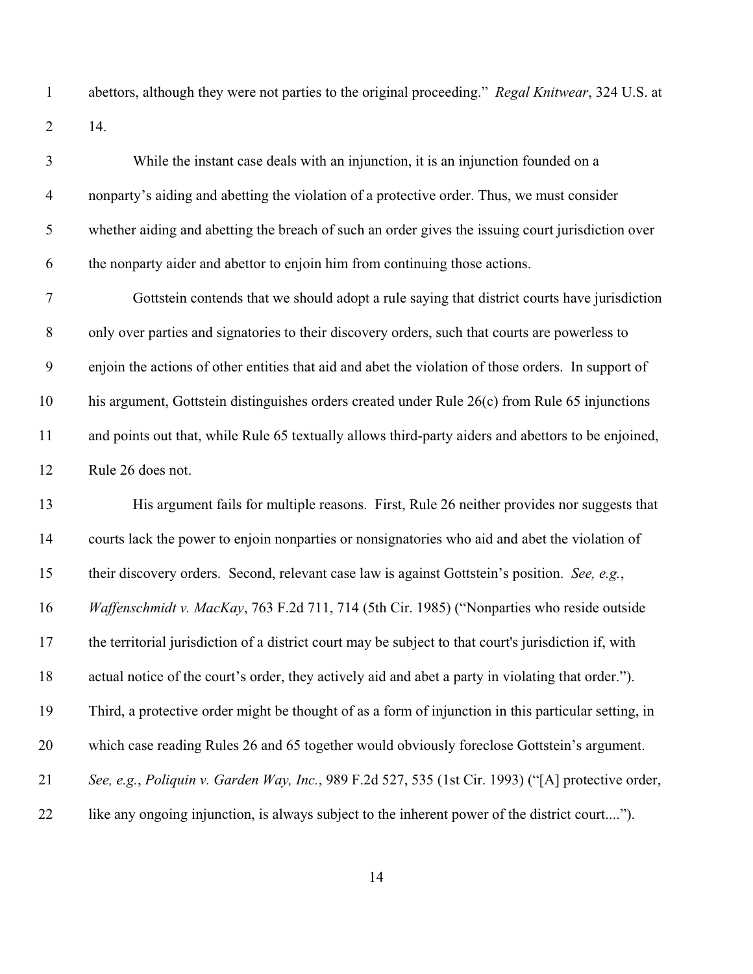abettors, although they were not parties to the original proceeding." *Regal Knitwear*, 324 U.S. at 14.

| 3                | While the instant case deals with an injunction, it is an injunction founded on a                     |
|------------------|-------------------------------------------------------------------------------------------------------|
| $\overline{4}$   | nonparty's aiding and abetting the violation of a protective order. Thus, we must consider            |
| $\mathfrak{S}$   | whether aiding and abetting the breach of such an order gives the issuing court jurisdiction over     |
| 6                | the nonparty aider and abettor to enjoin him from continuing those actions.                           |
| $\boldsymbol{7}$ | Gottstein contends that we should adopt a rule saying that district courts have jurisdiction          |
| $8\,$            | only over parties and signatories to their discovery orders, such that courts are powerless to        |
| 9                | enjoin the actions of other entities that aid and abet the violation of those orders. In support of   |
| 10               | his argument, Gottstein distinguishes orders created under Rule 26(c) from Rule 65 injunctions        |
| 11               | and points out that, while Rule 65 textually allows third-party aiders and abettors to be enjoined,   |
| 12               | Rule 26 does not.                                                                                     |
| 13               | His argument fails for multiple reasons. First, Rule 26 neither provides nor suggests that            |
| 14               | courts lack the power to enjoin nonparties or nonsignatories who aid and abet the violation of        |
| 15               | their discovery orders. Second, relevant case law is against Gottstein's position. See, e.g.,         |
| 16               | Waffenschmidt v. MacKay, 763 F.2d 711, 714 (5th Cir. 1985) ("Nonparties who reside outside            |
| 17               | the territorial jurisdiction of a district court may be subject to that court's jurisdiction if, with |
| 18               | actual notice of the court's order, they actively aid and abet a party in violating that order.").    |
| 19               | Third, a protective order might be thought of as a form of injunction in this particular setting, in  |
| 20               | which case reading Rules 26 and 65 together would obviously foreclose Gottstein's argument.           |
| 21               | See, e.g., Poliquin v. Garden Way, Inc., 989 F.2d 527, 535 (1st Cir. 1993) ("[A] protective order,    |
| 22               | like any ongoing injunction, is always subject to the inherent power of the district court").         |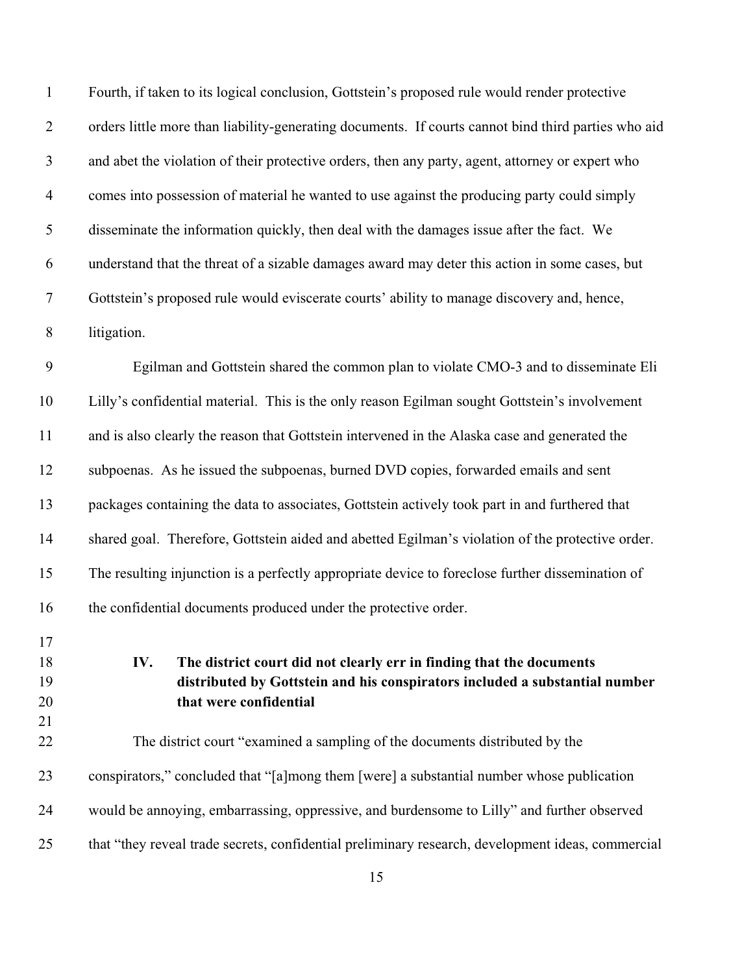| $\mathbf{1}$         | Fourth, if taken to its logical conclusion, Gottstein's proposed rule would render protective                                                                                        |
|----------------------|--------------------------------------------------------------------------------------------------------------------------------------------------------------------------------------|
| $\overline{2}$       | orders little more than liability-generating documents. If courts cannot bind third parties who aid                                                                                  |
| 3                    | and abet the violation of their protective orders, then any party, agent, attorney or expert who                                                                                     |
| $\overline{4}$       | comes into possession of material he wanted to use against the producing party could simply                                                                                          |
| 5                    | disseminate the information quickly, then deal with the damages issue after the fact. We                                                                                             |
| 6                    | understand that the threat of a sizable damages award may deter this action in some cases, but                                                                                       |
| $\tau$               | Gottstein's proposed rule would eviscerate courts' ability to manage discovery and, hence,                                                                                           |
| $8\,$                | litigation.                                                                                                                                                                          |
| $\mathbf{9}$         | Egilman and Gottstein shared the common plan to violate CMO-3 and to disseminate Eli                                                                                                 |
| 10                   | Lilly's confidential material. This is the only reason Egilman sought Gottstein's involvement                                                                                        |
| 11                   | and is also clearly the reason that Gottstein intervened in the Alaska case and generated the                                                                                        |
| 12                   | subpoenas. As he issued the subpoenas, burned DVD copies, forwarded emails and sent                                                                                                  |
| 13                   | packages containing the data to associates, Gottstein actively took part in and furthered that                                                                                       |
| 14                   | shared goal. Therefore, Gottstein aided and abetted Egilman's violation of the protective order.                                                                                     |
| 15                   | The resulting injunction is a perfectly appropriate device to foreclose further dissemination of                                                                                     |
| 16                   | the confidential documents produced under the protective order.                                                                                                                      |
| 17<br>18<br>19<br>20 | The district court did not clearly err in finding that the documents<br>IV.<br>distributed by Gottstein and his conspirators included a substantial number<br>that were confidential |
| 21<br>22             | The district court "examined a sampling of the documents distributed by the                                                                                                          |
| 23                   | conspirators," concluded that "[a]mong them [were] a substantial number whose publication                                                                                            |
| 24                   | would be annoying, embarrassing, oppressive, and burdensome to Lilly" and further observed                                                                                           |
| 25                   | that "they reveal trade secrets, confidential preliminary research, development ideas, commercial                                                                                    |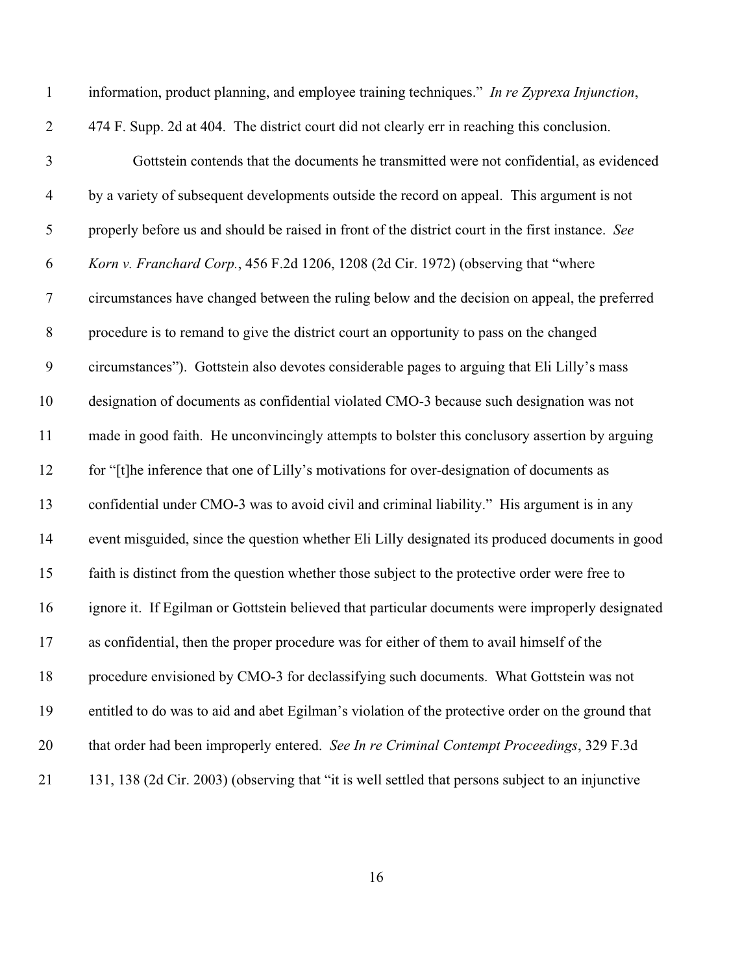| $\mathbf{1}$     | information, product planning, and employee training techniques." In re Zyprexa Injunction,       |
|------------------|---------------------------------------------------------------------------------------------------|
| $\mathbf{2}$     | 474 F. Supp. 2d at 404. The district court did not clearly err in reaching this conclusion.       |
| $\mathfrak{Z}$   | Gottstein contends that the documents he transmitted were not confidential, as evidenced          |
| $\overline{4}$   | by a variety of subsequent developments outside the record on appeal. This argument is not        |
| $\mathfrak s$    | properly before us and should be raised in front of the district court in the first instance. See |
| 6                | Korn v. Franchard Corp., 456 F.2d 1206, 1208 (2d Cir. 1972) (observing that "where                |
| $\boldsymbol{7}$ | circumstances have changed between the ruling below and the decision on appeal, the preferred     |
| $\,8\,$          | procedure is to remand to give the district court an opportunity to pass on the changed           |
| $\boldsymbol{9}$ | circumstances"). Gottstein also devotes considerable pages to arguing that Eli Lilly's mass       |
| 10               | designation of documents as confidential violated CMO-3 because such designation was not          |
| 11               | made in good faith. He unconvincingly attempts to bolster this conclusory assertion by arguing    |
| 12               | for "[t]he inference that one of Lilly's motivations for over-designation of documents as         |
| 13               | confidential under CMO-3 was to avoid civil and criminal liability." His argument is in any       |
| 14               | event misguided, since the question whether Eli Lilly designated its produced documents in good   |
| 15               | faith is distinct from the question whether those subject to the protective order were free to    |
| 16               | ignore it. If Egilman or Gottstein believed that particular documents were improperly designated  |
| 17               | as confidential, then the proper procedure was for either of them to avail himself of the         |
| 18               | procedure envisioned by CMO-3 for declassifying such documents. What Gottstein was not            |
| 19               | entitled to do was to aid and abet Egilman's violation of the protective order on the ground that |
| 20               | that order had been improperly entered. See In re Criminal Contempt Proceedings, 329 F.3d         |
| 21               | 131, 138 (2d Cir. 2003) (observing that "it is well settled that persons subject to an injunctive |